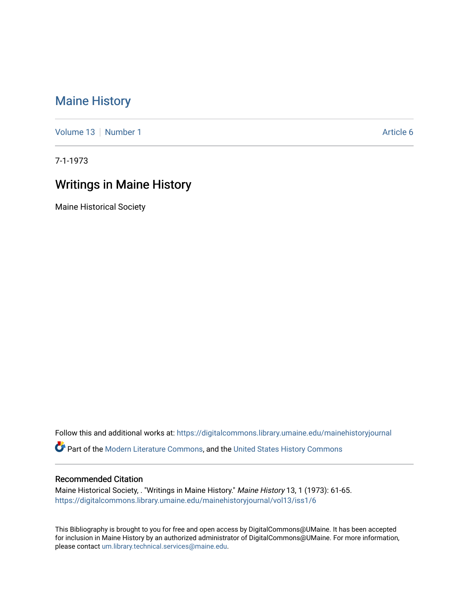## [Maine History](https://digitalcommons.library.umaine.edu/mainehistoryjournal)

[Volume 13](https://digitalcommons.library.umaine.edu/mainehistoryjournal/vol13) [Number 1](https://digitalcommons.library.umaine.edu/mainehistoryjournal/vol13/iss1) Article 6

7-1-1973

## Writings in Maine History

Maine Historical Society

Follow this and additional works at: [https://digitalcommons.library.umaine.edu/mainehistoryjournal](https://digitalcommons.library.umaine.edu/mainehistoryjournal?utm_source=digitalcommons.library.umaine.edu%2Fmainehistoryjournal%2Fvol13%2Fiss1%2F6&utm_medium=PDF&utm_campaign=PDFCoverPages)  Part of the [Modern Literature Commons,](http://network.bepress.com/hgg/discipline/1050?utm_source=digitalcommons.library.umaine.edu%2Fmainehistoryjournal%2Fvol13%2Fiss1%2F6&utm_medium=PDF&utm_campaign=PDFCoverPages) and the [United States History Commons](http://network.bepress.com/hgg/discipline/495?utm_source=digitalcommons.library.umaine.edu%2Fmainehistoryjournal%2Fvol13%2Fiss1%2F6&utm_medium=PDF&utm_campaign=PDFCoverPages)

## Recommended Citation

Maine Historical Society, . "Writings in Maine History." Maine History 13, 1 (1973): 61-65. [https://digitalcommons.library.umaine.edu/mainehistoryjournal/vol13/iss1/6](https://digitalcommons.library.umaine.edu/mainehistoryjournal/vol13/iss1/6?utm_source=digitalcommons.library.umaine.edu%2Fmainehistoryjournal%2Fvol13%2Fiss1%2F6&utm_medium=PDF&utm_campaign=PDFCoverPages)

This Bibliography is brought to you for free and open access by DigitalCommons@UMaine. It has been accepted for inclusion in Maine History by an authorized administrator of DigitalCommons@UMaine. For more information, please contact [um.library.technical.services@maine.edu.](mailto:um.library.technical.services@maine.edu)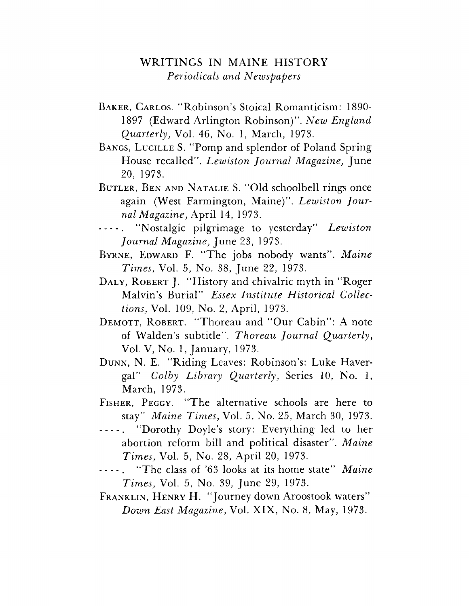## WRITINGS IN MAINE HISTORY Periodicals and Newspapers

- BAKER, CARLOS. "Robinson's Stoical Romanticism: 1890-1897 (Edward Arlington Robinson)". New England Quarterly, Vol. 46, No. 1, March, 1973.
- BANGS, LUCILLE S. "Pomp and splendor of Poland Spring House recalled". Lewiston Journal Magazine, June 20, 1973.
- BUTLER, BEN AND NATALIE S. "Old schoolbell rings once again (West Farmington, Maine)". Lewiston Journal Magazine, April 14, 1973.
- "Nostalgic pilgrimage to yesterday" Lewiston  $\sim$   $\sim$   $\sim$   $\sim$ *Journal Magazine*, June 23, 1973.
- BYRNE, EDWARD F. "The jobs nobody wants". Maine Times, Vol. 5, No. 38, June 22, 1973.
- DALY, ROBERT J. "History and chivalric myth in "Roger" Malvin's Burial" Essex Institute Historical Collec*tions*, Vol. 109, No. 2, April, 1973.
- DEMOTT, ROBERT. "Thoreau and "Our Cabin": A note of Walden's subtitle". Thoreau Journal Quarterly, Vol. V, No. 1, January, 1973.
- DUNN, N. E. "Riding Leaves: Robinson's: Luke Havergal" Colby Library Quarterly, Series 10, No. 1, March, 1973.
- FISHER, PEGGY. "The alternative schools are here to stay" Maine Times, Vol. 5, No. 25, March 30, 1973.
- "Dorothy Doyle's story: Everything led to her  $\frac{1}{2} \frac{1}{2} \frac{1}{2} \frac{1}{2} \frac{1}{2} \frac{1}{2} \frac{1}{2} \frac{1}{2} \frac{1}{2} \frac{1}{2} \frac{1}{2} \frac{1}{2} \frac{1}{2} \frac{1}{2} \frac{1}{2} \frac{1}{2} \frac{1}{2} \frac{1}{2} \frac{1}{2} \frac{1}{2} \frac{1}{2} \frac{1}{2} \frac{1}{2} \frac{1}{2} \frac{1}{2} \frac{1}{2} \frac{1}{2} \frac{1}{2} \frac{1}{2} \frac{1}{2} \frac{1}{2} \frac{$ abortion reform bill and political disaster". Maine *Times, Vol. 5, No. 28, April 20, 1973.*
- "The class of '63 looks at its home state" Maine  $- - - -$ *Times*, Vol. 5, No. 39, June 29, 1973.
- FRANKLIN, HENRY H. "Journey down Aroostook waters" Down East Magazine, Vol. XIX, No. 8, May, 1973.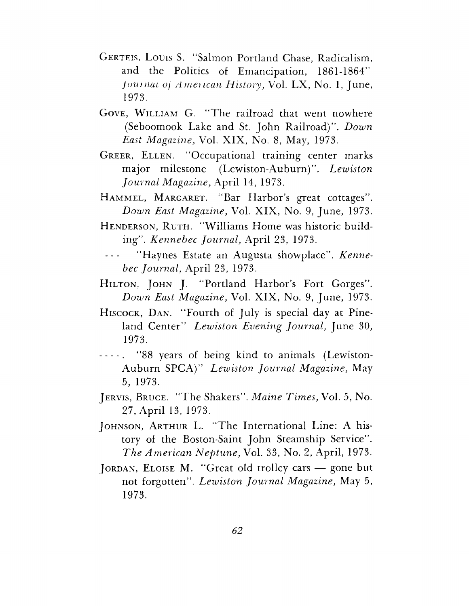- GERTEIS, LOUIS S. "Salmon Portland Chase, Radicalism, and the Politics of Emancipation, 1861-1864" Journal of American History, Vol. LX, No. 1, June, 1973.
- GOVE, WILLIAM G. "The railroad that went nowhere (Seboomook Lake and St. John Railroad)". Down East Magazine, Vol. XIX, No. 8, May, 1973.
- GREER, ELLEN. "Occupational training center marks major milestone (Lewiston-Auburn)". Lewiston Journal Magazine, April 14, 1973.
- HAMMEL, MARGARET. "Bar Harbor's great cottages". Down East Magazine, Vol. XIX, No. 9, June, 1973.
- HENDERSON, RUTH. "Williams Home was historic building". Kennebec Journal, April 23, 1973.
- $\varphi$  is  $\varphi$ "Haynes Estate an Augusta showplace". Kennebec Journal, April 23, 1973.
- HILTON, JOHN J. "Portland Harbor's Fort Gorges". *Down East Magazine, Vol. XIX, No. 9, June, 1973.*
- HISCOCK, DAN. "Fourth of July is special day at Pineland Center" Lewiston Evening Journal, June 30, 1973.
- ----. "88 years of being kind to animals (Lewiston-Auburn SPCA)" Lewiston Journal Magazine, May 5, 1973.
- JERVIS, BRUCE. "The Shakers". Maine Times, Vol. 5, No. 27, April 13, 1973.
- JOHNSON, ARTHUR L. "The International Line: A history of the Boston-Saint John Steamship Service". The American Neptune, Vol. 33, No. 2, April, 1973.
- JORDAN, ELOISE M. "Great old trolley cars  $-$  gone but not forgotten". Lewiston Journal Magazine, May 5, 1973.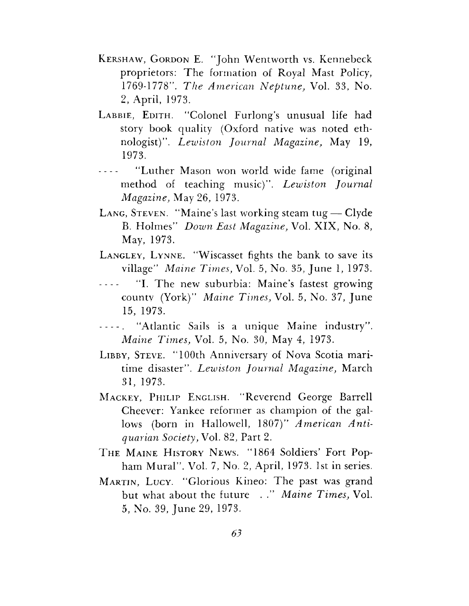- KERSHAW, GORDON E. "John Wentworth vs. Kennebeck proprietors: The formation of Royal Mast Policy, 1769-1778". The American Neptune, Vol. 33, No. 2, April, 1973.
- LABBIE, EDITH. "Colonel Furlong's unusual life had story book quality (Oxford native was noted ethnologist)". Lewiston Journal Magazine, May 19, 1973.
- "Luther Mason won world wide fame (original  $\frac{1}{2}$  .  $\frac{1}{2}$ method of teaching music)". Lewiston Journal *Magazine*, May 26, 1973.
- LANG, STEVEN. "Maine's last working steam tug Clyde B. Holmes" Down East Magazine, Vol. XIX, No. 8, May, 1973.
- LANGLEY, LYNNE. "Wiscasset fights the bank to save its village" Maine Times, Vol. 5, No. 35, June 1, 1973.
- "I. The new suburbia: Maine's fastest growing county (York)" Maine Times, Vol. 5, No. 37, June 15, 1973.
- "Atlantic Sails is a unique Maine industry".  $\frac{1}{2} \left( \frac{1}{2} \right) \left( \frac{1}{2} \right) \left( \frac{1}{2} \right) \left( \frac{1}{2} \right) \left( \frac{1}{2} \right)$ *Maine Times, Vol. 5, No. 30, May 4, 1973.*
- LIBBY, STEVE. "100th Anniversary of Nova Scotia maritime disaster". Lewiston Journal Magazine, March 31, 1973.
- MACKEY, PHILIP ENGLISH. "Reverend George Barrell Cheever: Yankee reformer as champion of the gallows (born in Hallowell, 1807)" American Antiquarian Society, Vol. 82, Part 2.
- THE MAINE HISTORY NEWS. "1864 Soldiers' Fort Popham Mural". Vol. 7, No. 2, April, 1973. 1st in series.
- MARTIN, LUCY. "Glorious Kineo: The past was grand but what about the future ..." Maine Times, Vol. 5, No. 39, June 29, 1973.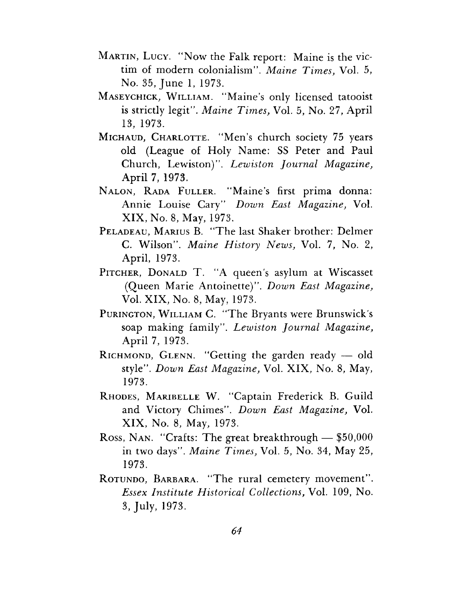- MARTIN, LUCY. "Now the Falk report: Maine is the victim of modern colonialism". Maine Times, Vol. 5, No. 35, June 1, 1973.
- MASEYCHICK, WILLIAM. "Maine's only licensed tatooist is strictly legit". Maine Times, Vol. 5, No. 27, April 13, 1973.
- MICHAUD, CHARLOTTE. "Men's church society 75 years old (League of Holy Name: SS Peter and Paul Church, Lewiston)". Lewiston Journal Magazine, April 7, 1973.
- NALON, RADA FULLER. "Maine's first prima donna: Annie Louise Cary" Down East Magazine, Vol. XIX, No. 8, May, 1973.
- PELADEAU, MARIUS B. "The last Shaker brother: Delmer C. Wilson". Maine History News, Vol. 7, No. 2, April, 1973.
- PITCHER, DONALD T. "A queen's asylum at Wiscasset (Queen Marie Antoinette)". Down East Magazine, Vol. XIX, No. 8, May, 1973.
- PURINGTON, WILLIAM C. "The Bryants were Brunswick's soap making family". Lewiston Journal Magazine, April 7, 1973.
- RICHMOND, GLENN. "Getting the garden ready  $-$  old style". Down East Magazine, Vol. XIX, No. 8, May, 1973.
- RHODES, MARIBELLE W. "Captain Frederick B. Guild and Victory Chimes". Down East Magazine, Vol. XIX, No. 8, May, 1973.
- Ross, NAN. "Crafts: The great breakthrough  $-$  \$50,000 in two days". Maine Times, Vol. 5, No. 34, May 25, 1973.
- ROTUNDO, BARBARA. "The rural cemetery movement". *Essex Institute Historical Collections, Vol. 109, No.* 3, July, 1973.